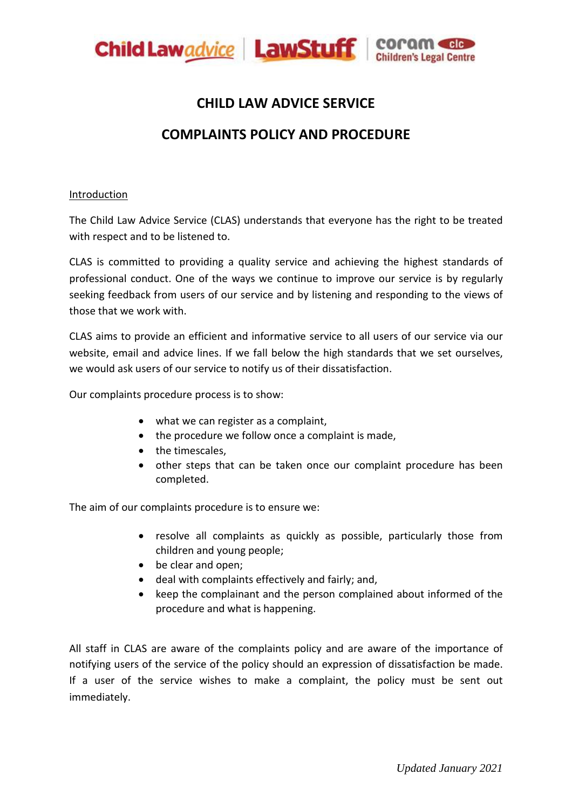

## **CHILD LAW ADVICE SERVICE**

# **COMPLAINTS POLICY AND PROCEDURE**

#### **Introduction**

The Child Law Advice Service (CLAS) understands that everyone has the right to be treated with respect and to be listened to.

CLAS is committed to providing a quality service and achieving the highest standards of professional conduct. One of the ways we continue to improve our service is by regularly seeking feedback from users of our service and by listening and responding to the views of those that we work with.

CLAS aims to provide an efficient and informative service to all users of our service via our website, email and advice lines. If we fall below the high standards that we set ourselves, we would ask users of our service to notify us of their dissatisfaction.

Our complaints procedure process is to show:

- what we can register as a complaint,
- the procedure we follow once a complaint is made,
- the timescales,
- other steps that can be taken once our complaint procedure has been completed.

The aim of our complaints procedure is to ensure we:

- resolve all complaints as quickly as possible, particularly those from children and young people;
- be clear and open;
- deal with complaints effectively and fairly; and,
- keep the complainant and the person complained about informed of the procedure and what is happening.

All staff in CLAS are aware of the complaints policy and are aware of the importance of notifying users of the service of the policy should an expression of dissatisfaction be made. If a user of the service wishes to make a complaint, the policy must be sent out immediately.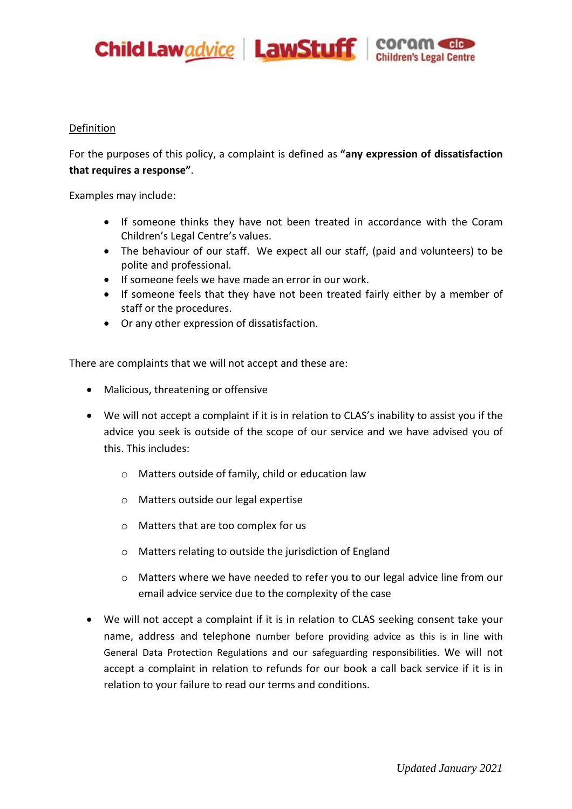

#### Definition

For the purposes of this policy, a complaint is defined as **"any expression of dissatisfaction that requires a response"**.

Examples may include:

- If someone thinks they have not been treated in accordance with the Coram Children's Legal Centre's values.
- The behaviour of our staff. We expect all our staff, (paid and volunteers) to be polite and professional.
- **If someone feels we have made an error in our work.**
- If someone feels that they have not been treated fairly either by a member of staff or the procedures.
- Or any other expression of dissatisfaction.

There are complaints that we will not accept and these are:

- Malicious, threatening or offensive
- We will not accept a complaint if it is in relation to CLAS's inability to assist you if the advice you seek is outside of the scope of our service and we have advised you of this. This includes:
	- o Matters outside of family, child or education law
	- o Matters outside our legal expertise
	- o Matters that are too complex for us
	- o Matters relating to outside the jurisdiction of England
	- o Matters where we have needed to refer you to our legal advice line from our email advice service due to the complexity of the case
- We will not accept a complaint if it is in relation to CLAS seeking consent take your name, address and telephone number before providing advice as this is in line with General Data Protection Regulations and our safeguarding responsibilities. We will not accept a complaint in relation to refunds for our book a call back service if it is in relation to your failure to read our terms and conditions.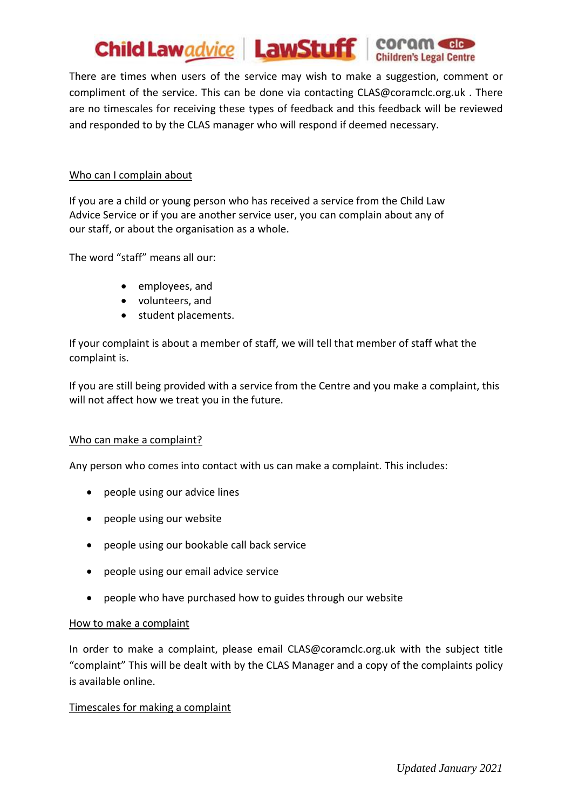

There are times when users of the service may wish to make a suggestion, comment or compliment of the service. This can be done via contacting CLAS@coramclc.org.uk . There are no timescales for receiving these types of feedback and this feedback will be reviewed and responded to by the CLAS manager who will respond if deemed necessary.

#### Who can I complain about

If you are a child or young person who has received a service from the Child Law Advice Service or if you are another service user, you can complain about any of our staff, or about the organisation as a whole.

The word "staff" means all our:

- employees, and
- volunteers, and
- student placements.

If your complaint is about a member of staff, we will tell that member of staff what the complaint is.

If you are still being provided with a service from the Centre and you make a complaint, this will not affect how we treat you in the future.

#### Who can make a complaint?

Any person who comes into contact with us can make a complaint. This includes:

- people using our advice lines
- people using our website
- people using our bookable call back service
- people using our email advice service
- people who have purchased how to guides through our website

#### How to make a complaint

In order to make a complaint, please email [CLAS@coramclc.org.uk](mailto:CLAS@coramclc.org.uk) with the subject title "complaint" This will be dealt with by the CLAS Manager and a copy of the complaints policy is available online.

## Timescales for making a complaint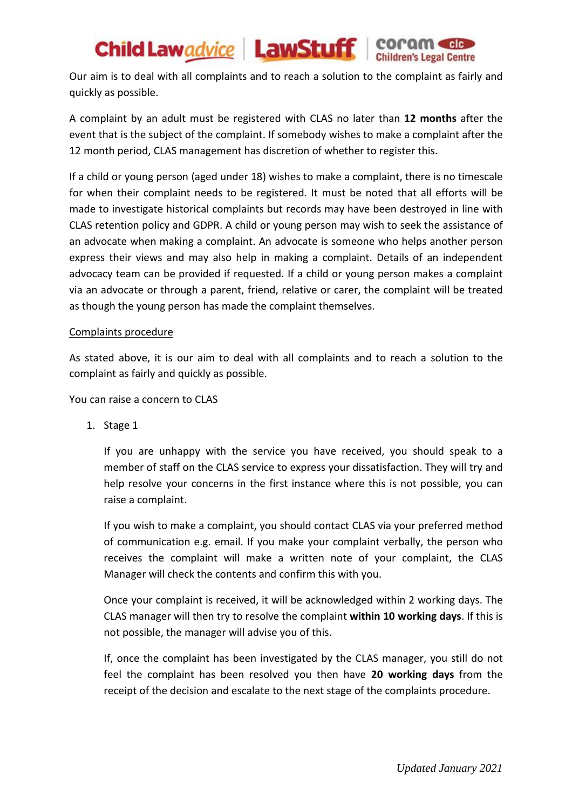# Child Lawadvice | LawStuff | COCOM COLOR

Our aim is to deal with all complaints and to reach a solution to the complaint as fairly and quickly as possible.

A complaint by an adult must be registered with CLAS no later than **12 months** after the event that is the subject of the complaint. If somebody wishes to make a complaint after the 12 month period, CLAS management has discretion of whether to register this.

If a child or young person (aged under 18) wishes to make a complaint, there is no timescale for when their complaint needs to be registered. It must be noted that all efforts will be made to investigate historical complaints but records may have been destroyed in line with CLAS retention policy and GDPR. A child or young person may wish to seek the assistance of an advocate when making a complaint. An advocate is someone who helps another person express their views and may also help in making a complaint. Details of an independent advocacy team can be provided if requested. If a child or young person makes a complaint via an advocate or through a parent, friend, relative or carer, the complaint will be treated as though the young person has made the complaint themselves.

#### Complaints procedure

As stated above, it is our aim to deal with all complaints and to reach a solution to the complaint as fairly and quickly as possible.

You can raise a concern to CLAS

1. Stage 1

If you are unhappy with the service you have received, you should speak to a member of staff on the CLAS service to express your dissatisfaction. They will try and help resolve your concerns in the first instance where this is not possible, you can raise a complaint.

If you wish to make a complaint, you should contact CLAS via your preferred method of communication e.g. email. If you make your complaint verbally, the person who receives the complaint will make a written note of your complaint, the CLAS Manager will check the contents and confirm this with you.

Once your complaint is received, it will be acknowledged within 2 working days. The CLAS manager will then try to resolve the complaint **within 10 working days**. If this is not possible, the manager will advise you of this.

If, once the complaint has been investigated by the CLAS manager, you still do not feel the complaint has been resolved you then have **20 working days** from the receipt of the decision and escalate to the next stage of the complaints procedure.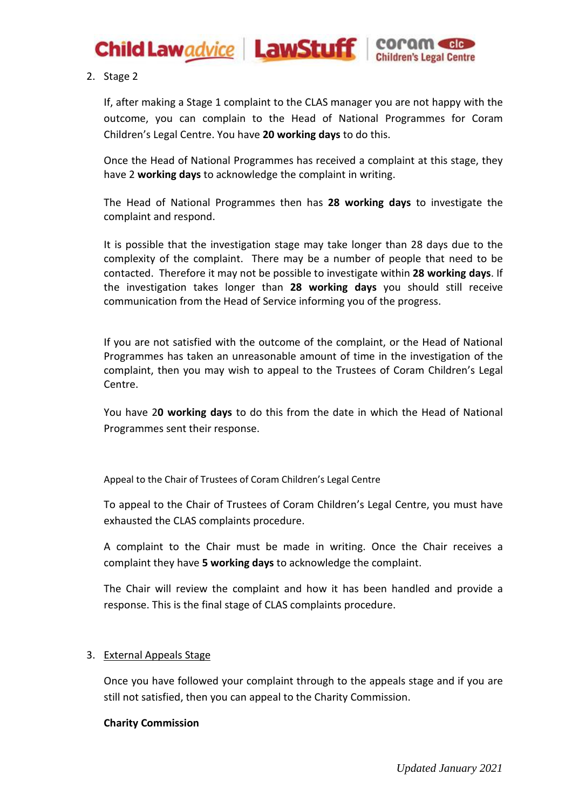

2. Stage 2

If, after making a Stage 1 complaint to the CLAS manager you are not happy with the outcome, you can complain to the Head of National Programmes for Coram Children's Legal Centre. You have **20 working days** to do this.

Once the Head of National Programmes has received a complaint at this stage, they have 2 **working days** to acknowledge the complaint in writing.

The Head of National Programmes then has **28 working days** to investigate the complaint and respond.

It is possible that the investigation stage may take longer than 28 days due to the complexity of the complaint. There may be a number of people that need to be contacted. Therefore it may not be possible to investigate within **28 working days**. If the investigation takes longer than **28 working days** you should still receive communication from the Head of Service informing you of the progress.

If you are not satisfied with the outcome of the complaint, or the Head of National Programmes has taken an unreasonable amount of time in the investigation of the complaint, then you may wish to appeal to the Trustees of Coram Children's Legal Centre.

You have 2**0 working days** to do this from the date in which the Head of National Programmes sent their response.

Appeal to the Chair of Trustees of Coram Children's Legal Centre

To appeal to the Chair of Trustees of Coram Children's Legal Centre, you must have exhausted the CLAS complaints procedure.

A complaint to the Chair must be made in writing. Once the Chair receives a complaint they have **5 working days** to acknowledge the complaint.

The Chair will review the complaint and how it has been handled and provide a response. This is the final stage of CLAS complaints procedure.

#### 3. External Appeals Stage

Once you have followed your complaint through to the appeals stage and if you are still not satisfied, then you can appeal to the Charity Commission.

#### **Charity Commission**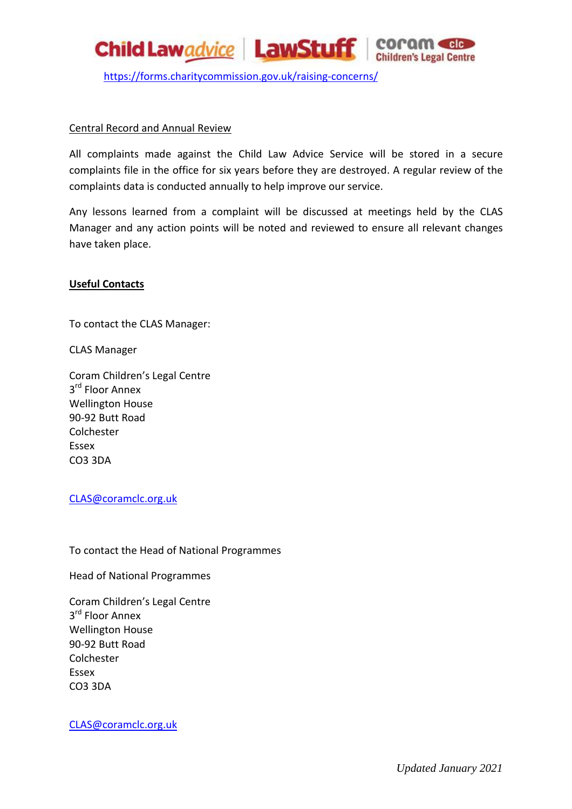

<https://forms.charitycommission.gov.uk/raising-concerns/>

#### Central Record and Annual Review

All complaints made against the Child Law Advice Service will be stored in a secure complaints file in the office for six years before they are destroyed. A regular review of the complaints data is conducted annually to help improve our service.

Any lessons learned from a complaint will be discussed at meetings held by the CLAS Manager and any action points will be noted and reviewed to ensure all relevant changes have taken place.

#### **Useful Contacts**

To contact the CLAS Manager:

CLAS Manager

Coram Children's Legal Centre 3<sup>rd</sup> Floor Annex Wellington House 90-92 Butt Road Colchester Essex CO3 3DA

#### [CLAS@coramclc.org.uk](mailto:CLAS@coramclc.org.uk)

To contact the Head of National Programmes

Head of National Programmes

Coram Children's Legal Centre 3<sup>rd</sup> Floor Annex Wellington House 90-92 Butt Road Colchester Essex CO3 3DA

#### [CLAS@coramclc.org.uk](mailto:CLAS@coramclc.org.uk)